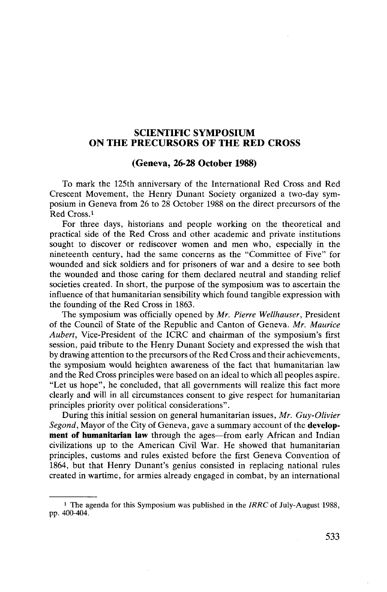## SCIENTIFIC SYMPOSIUM ON THE PRECURSORS OF THE RED CROSS

## (Geneva, 26-28 October 1988)

To mark the 125th anniversary of the International Red Cross and Red Crescent Movement, the Henry Dunant Society organized a two-day symposium in Geneva from 26 to 28 October 1988 on the direct precursors of the Red Cross.1

For three days, historians and people working on the theoretical and practical side of the Red Cross and other academic and private institutions sought to discover or rediscover women and men who, especially in the nineteenth century, had the same concerns as the "Committee of Five" for wounded and sick soldiers and for prisoners of war and a desire to see both the wounded and those caring for them declared neutral and standing relief societies created. In short, the purpose of the symposium was to ascertain the influence of that humanitarian sensibility which found tangible expression with the founding of the Red Cross in 1863.

The symposium was officially opened by *Mr. Pierre Wellhauser,* President of the Council of State of the Republic and Canton of Geneva. *Mr. Maurice Aubert,* Vice-President of the ICRC and chairman of the symposium's first session, paid tribute to the Henry Dunant Society and expressed the wish that by drawing attention to the precursors of the Red Cross and their achievements, the symposium would heighten awareness of the fact that humanitarian law and the Red Cross principles were based on an ideal to which all peoples aspire. "Let us hope", he concluded, that all governments will realize this fact more clearly and will in all circumstances consent to give respect for humanitarian principles priority over political considerations".

During this initial session on general humanitarian issues, *Mr. Guy-Olivier Segond,* Mayor of the City of Geneva, gave a summary account of the **development of humanitarian law** through the ages—from early African and Indian civilizations up to the American Civil War. He showed that humanitarian principles, customs and rules existed before the first Geneva Convention of 1864, but that Henry Dunant's genius consisted in replacing national rules created in wartime, for armies already engaged in combat, by an international

<sup>&</sup>lt;sup>1</sup> The agenda for this Symposium was published in the *IRRC* of July-August 1988, pp. 400-404.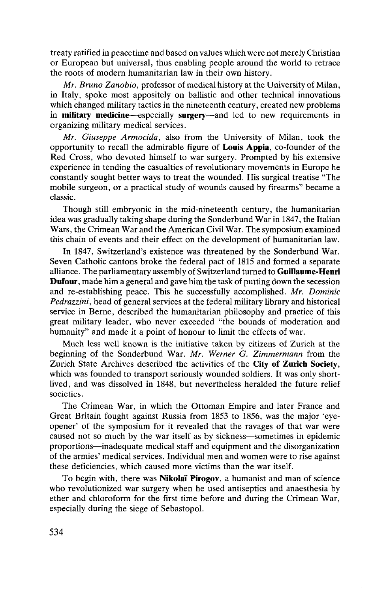treaty ratified in peacetime and based on values which were not merely Christian or European but universal, thus enabling people around the world to retrace the roots of modern humanitarian law in their own history.

*Mr. Bruno Zanobio,* professor of medical history at the University of Milan, in Italy, spoke most appositely on ballistic and other technical innovations which changed military tactics in the nineteenth century, created new problems in **military medicine**—especially **surgery**—and led to new requirements in organizing military medical services.

*Mr. Giuseppe Armocida,* also from the University of Milan, took the opportunity to recall the admirable figure of **Louis Appia,** co-founder of the Red Cross, who devoted himself to war surgery. Prompted by his extensive experience in tending the casualties of revolutionary movements in Europe he constantly sought better ways to treat the wounded. His surgical treatise "The mobile surgeon, or a practical study of wounds caused by firearms" became a classic.

Though still embryonic in the mid-nineteenth century, the humanitarian idea was gradually taking shape during the Sonderbund War in 1847, the Italian Wars, the Crimean War and the American Civil War. The symposium examined this chain of events and their effect on the development of humanitarian law.

In 1847, Switzerland's existence was threatened by the Sonderbund War. Seven Catholic cantons broke the federal pact of 1815 and formed a separate alliance. The parliamentary assembly of Switzerland turned to **Guillaume-Henri Dufour,** made him a general and gave him the task of putting down the secession and re-establishing peace. This he successfully accomplished. *Mr. Dominic Pedrazzini,* head of general services at the federal military library and historical service in Berne, described the humanitarian philosophy and practice of this great military leader, who never exceeded "the bounds of moderation and humanity" and made it a point of honour to limit the effects of war.

Much less well known is the initiative taken by citizens of Zurich at the beginning of the Sonderbund War. *Mr. Werner G. Zimmermann* from the Zurich State Archives described the activities of the **City of Zurich Society,** which was founded to transport seriously wounded soldiers. It was only shortlived, and was dissolved in 1848, but nevertheless heralded the future relief societies.

The Crimean War, in which the Ottoman Empire and later France and Great Britain fought against Russia from 1853 to 1856, was the major 'eyeopener' of the symposium for it revealed that the ravages of that war were caused not so much by the war itself as by sickness—sometimes in epidemic proportions—inadequate medical staff and equipment and the disorganization of the armies' medical services. Individual men and women were to rise against these deficiencies, which caused more victims than the war itself.

To begin with, there was **Nikolai Pirogov,** a humanist and man of science who revolutionized war surgery when he used antiseptics and anaesthesia by ether and chloroform for the first time before and during the Crimean War, especially during the siege of Sebastopol.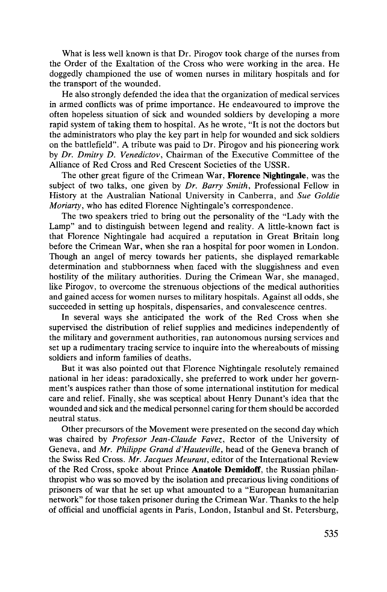What is less well known is that Dr. Pirogov took charge of the nurses from the Order of the Exaltation of the Cross who were working in the area. He doggedly championed the use of women nurses in military hospitals and for the transport of the wounded.

He also strongly defended the idea that the organization of medical services in armed conflicts was of prime importance. He endeavoured to improve the often hopeless situation of sick and wounded soldiers by developing a more rapid system of taking them to hospital. As he wrote, "It is not the doctors but the administrators who play the key part in help for wounded and sick soldiers on the battlefield". A tribute was paid to Dr. Pirogov and his pioneering work by *Dr. Dmitry D. Venedictov,* Chairman of the Executive Committee of the Alliance of Red Cross and Red Crescent Societies of the USSR.

The other great figure of the Crimean War, **Florence Nightingale,** was the subject of two talks, one given by *Dr. Barry Smith,* Professional Fellow in History at the Australian National University in Canberra, and *Sue Goldie Moriarty,* who has edited Florence Nightingale's correspondence.

The two speakers tried to bring out the personality of the "Lady with the Lamp" and to distinguish between legend and reality. A little-known fact is that Florence Nightingale had acquired a reputation in Great Britain long before the Crimean War, when she ran a hospital for poor women in London. Though an angel of mercy towards her patients, she displayed remarkable determination and stubbornness when faced with the sluggishness and even hostility of the military authorities. During the Crimean War, she managed, like Pirogov, to overcome the strenuous objections of the medical authorities and gained access for women nurses to military hospitals. Against all odds, she succeeded in setting up hospitals, dispensaries, and convalescence centres.

In several ways she anticipated the work of the Red Cross when she supervised the distribution of relief supplies and medicines independently of the military and government authorities, ran autonomous nursing services and set up a rudimentary tracing service to inquire into the whereabouts of missing soldiers and inform families of deaths.

But it was also pointed out that Florence Nightingale resolutely remained national in her ideas: paradoxically, she preferred to work under her government's auspices rather than those of some international institution for medical care and relief. Finally, she was sceptical about Henry Dunant's idea that the wounded and sick and the medical personnel caring for them should be accorded neutral status.

Other precursors of the Movement were presented on the second day which was chaired by *Professor Jean-Claude Favez,* Rector of the University of Geneva, and *Mr. Philippe Grand d'Hauteville,* head of the Geneva branch of the Swiss Red Cross. *Mr. Jacques Meurant,* editor of the International Review of the Red Cross, spoke about Prince **Anatole Demidoff,** the Russian philanthropist who was so moved by the isolation and precarious living conditions of prisoners of war that he set up what amounted to a "European humanitarian network" for those taken prisoner during the Crimean War. Thanks to the help of official and unofficial agents in Paris, London, Istanbul and St. Petersburg,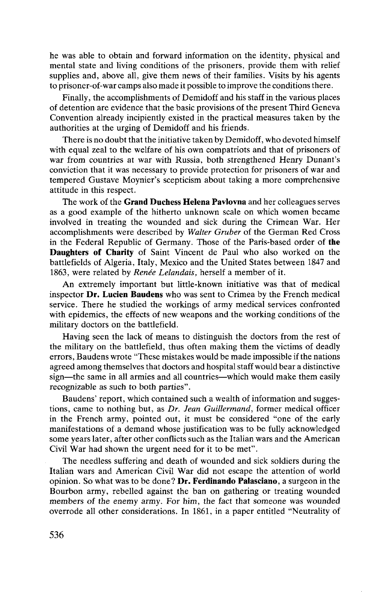he was able to obtain and forward information on the identity, physical and mental state and living conditions of the prisoners, provide them with relief supplies and, above all, give them news of their families. Visits by his agents to prisoner-of-war camps also made it possible to improve the conditions there.

Finally, the accomplishments of Demidoff and his staff in the various places of detention are evidence that the basic provisions of the present Third Geneva Convention already incipiently existed in the practical measures taken by the authorities at the urging of Demidoff and his friends.

There is no doubt that the initiative taken by Demidoff, who devoted himself with equal zeal to the welfare of his own compatriots and that of prisoners of war from countries at war with Russia, both strengthened Henry Dunant's conviction that it was necessary to provide protection for prisoners of war and tempered Gustave Moynier's scepticism about taking a more comprehensive attitude in this respect.

The work of the **Grand Duchess Helena Pavlovna** and her colleagues serves as a good example of the hitherto unknown scale on which women became involved in treating the wounded and sick during the Crimean War. Her accomplishments were described by *Walter Gruber* of the German Red Cross in the Federal Republic of Germany. Those of the Paris-based order of **the Daughters of Charity** of Saint Vincent de Paul who also worked on the battlefields of Algeria, Italy, Mexico and the United States between 1847 and 1863, were related by *Renée Lelandais*, herself a member of it.

An extremely important but little-known initiative was that of medical inspector **Dr. Lucien Baudens** who was sent to Crimea by the French medical service. There he studied the workings of army medical services confronted with epidemics, the effects of new weapons and the working conditions of the military doctors on the battlefield.

Having seen the lack of means to distinguish the doctors from the rest of the military on the battlefield, thus often making them the victims of deadly errors, Baudens wrote "These mistakes would be made impossible if the nations agreed among themselves that doctors and hospital staff would bear a distinctive sign—the same in all armies and all countries—which would make them easily recognizable as such to both parties".

Baudens' report, which contained such a wealth of information and suggestions, came to nothing but, as *Dr. Jean Guillermand,* former medical officer in the French army, pointed out, it must be considered "one of the early manifestations of a demand whose justification was to be fully acknowledged some years later, after other conflicts such as the Italian wars and the American Civil War had shown the urgent need for it to be met".

The needless suffering and death of wounded and sick soldiers during the Italian wars and American Civil War did not escape the attention of world opinion. So what was to be done? **Dr. Ferdinando Palasciano,** a surgeon in the Bourbon army, rebelled against the ban on gathering or treating wounded members of the enemy army. For him, the fact that someone was wounded overrode all other considerations. In 1861, in a paper entitled "Neutrality of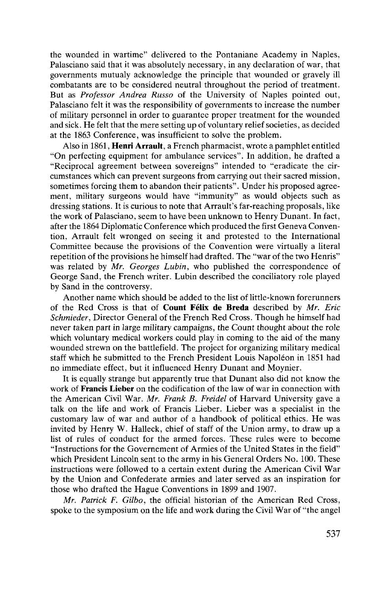the wounded in wartime" delivered to the Pontaniane Academy in Naples, Palasciano said that it was absolutely necessary, in any declaration of war, that governments mutualy acknowledge the principle that wounded or gravely ill combatants are to be considered neutral throughout the period of treatment. But as *Professor Andrea Russo* of the University of Naples pointed out, Palasciano felt it was the responsibility of governments to increase the number of military personnel in order to guarantee proper treatment for the wounded and sick. He felt that the mere setting up of voluntary relief societies, as decided at the 1863 Conference, was insufficient to solve the problem.

Also in 1861, **Henri Arrault,** a French pharmacist, wrote a pamphlet entitled "On perfecting equipment for ambulance services". In addition, he drafted a "Reciprocal agreement between sovereigns" intended to "eradicate the circumstances which can prevent surgeons from carrying out their sacred mission, sometimes forcing them to abandon their patients". Under his proposed agreement, military surgeons would have "immunity" as would objects such as dressing stations. It is curious to note that Arrault's far-reaching proposals, like the work of Palasciano, seem to have been unknown to Henry Dunant. In fact, after the 1864 Diplomatic Conference which produced the first Geneva Convention, Arrault felt wronged on seeing it and protested to the International Committee because the provisions of the Convention were virtually a literal repetition of the provisions he himself had drafted. The "war of the two Henris" was related by *Mr. Georges Lubin,* who published the correspondence of George Sand, the French writer. Lubin described the conciliatory role played by Sand in the controversy.

Another name which should be added to the list of little-known forerunners of the Red Cross is that of **Count Felix de Breda** described by *Mr. Eric Schmieder,* Director General of the French Red Cross. Though he himself had never taken part in large military campaigns, the Count thought about the role which voluntary medical workers could play in coming to the aid of the many wounded strewn on the battlefield. The project for organizing military medical staff which he submitted to the French President Louis Napoleon in 1851 had no immediate effect, but it influenced Henry Dunant and Moynier.

It is equally strange but apparently true that Dunant also did not know the work of **Francis Lieber** on the codification of the law of war in connection with the American Civil War. *Mr. Frank B. Freidel* of Harvard University gave a talk on the life and work of Francis Lieber. Lieber was a specialist in the customary law of war and author of a handbook of political ethics. He was invited by Henry W. Halleck, chief of staff of the Union army, to draw up a list of rules of conduct for the armed forces. These rules were to become "Instructions for the Governement of Armies of the United States in the field" which President Lincoln sent to the army in his General Orders No. 100. These instructions were followed to a certain extent during the American Civil War by the Union and Confederate armies and later served as an inspiration for those who drafted the Hague Conventions in 1899 and 1907.

*Mr. Patrick F. Gilbo,* the official historian of the American Red Cross, spoke to the symposium on the life and work during the Civil War of "the angel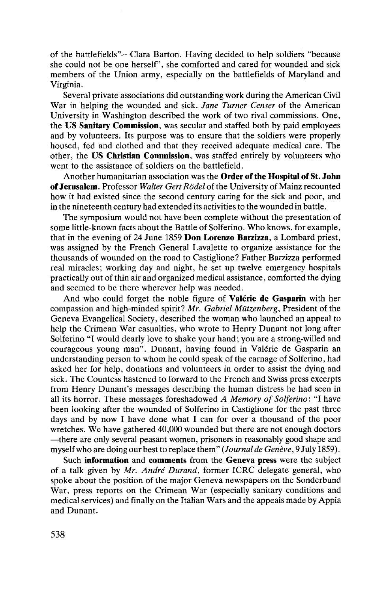of the battlefields"—Clara Barton. Having decided to help soldiers "because she could not be one herself", she comforted and cared for wounded and sick members of the Union army, especially on the battlefields of Maryland and Virginia.

Several private associations did outstanding work during the American Civil War in helping the wounded and sick. *Jane Turner Censer* of the American University in Washington described the work of two rival commissions. One, the **US Sanitary Commission,** was secular and staffed both by paid employees and by volunteers. Its purpose was to ensure that the soldiers were properly housed, fed and clothed and that they received adequate medical care. The other, the **US Christian Commission,** was staffed entirely by volunteers who went to the assistance of soldiers on the battlefield.

Another humanitarian association was the **Order of the Hospital of St. John of Jerusalem.** Professor *Walter Gert Rodel* of the University of Mainz recounted how it had existed since the second century caring for the sick and poor, and in the nineteenth century had extended its activities to the wounded in battle.

The symposium would not have been complete without the presentation of some little-known facts about the Battle of Solferino. Who knows, for example, that in the evening of 24 June 1859 **Don Lorenzo Barzizza,** a Lombard priest, was assigned by the French General Lavalette to organize assistance for the thousands of wounded on the road to Castiglione? Father Barzizza performed real miracles; working day and night, he set up twelve emergency hospitals practically out of thin air and organized medical assistance, comforted the dying and seemed to be there wherever help was needed.

And who could forget the noble figure of **Valerie de Gasparin** with her compassion and high-minded spirit? *Mr. Gabriel Miltzenberg,* President of the Geneva Evangelical Society, described the woman who launched an appeal to help the Crimean War casualties, who wrote to Henry Dunant not long after Solferino "I would dearly love to shake your hand; you are a strong-willed and courageous young man". Dunant, having found in Valerie de Gasparin an understanding person to whom he could speak of the carnage of Solferino, had asked her for help, donations and volunteers in order to assist the dying and sick. The Countess hastened to forward to the French and Swiss press excerpts from Henry Dunant's messages describing the human distress he had seen in all its horror. These messages foreshadowed *A Memory of Solferino:* "I have been looking after the wounded of Solferino in Castiglione for the past three days and by now I have done what I can for over a thousand of the poor wretches. We have gathered 40,000 wounded but there are not enough doctors —there are only several peasant women, prisoners in reasonably good shape and myself who are doing our best to replace them" *(Journal de Geneve*, 9 July 1859).

Such **information** and **comments** from the **Geneva press** were the subject of a talk given by *Mr. Andre Durand,* former ICRC delegate general, who spoke about the position of the major Geneva newspapers on the Sonderbund War, press reports on the Crimean War (especially sanitary conditions and medical services) and finally on the Italian Wars and the appeals made by Appia and Dunant.